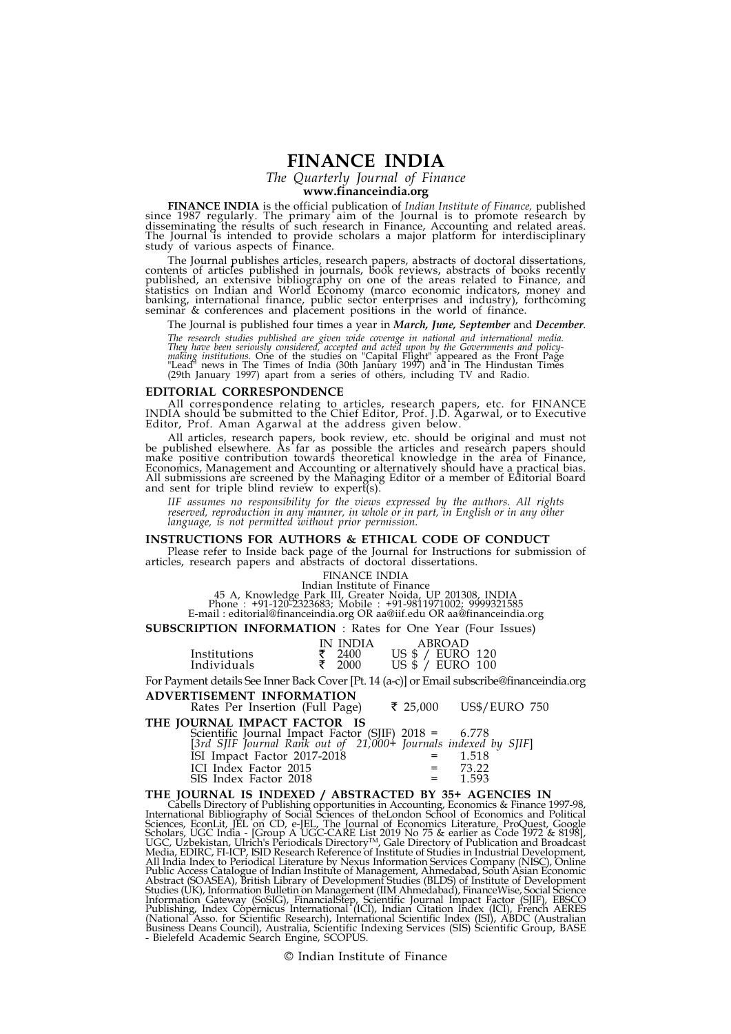# FINANCE INDIA

The Quarterly Journal of Finance

www.financeindia.org

FINANCE INDIA is the official publication of Indian Institute of Finance, published since 1987 regularly. The primary aim of the Journal is to promote research by disseminating the results of such research in Finance, Accounting and related areas. The Journal is intended to provide scholars a major platform for interdisciplinary study of various aspects of Finance.

The Journal publishes articles, research papers, abstracts of doctoral dissertations, contents of articles published in journals, book reviews, abstracts of books recently published, an extensive bibliography on one of the areas related to Finance, and statistics on Indian and World Economy (marco economic indicators, money and banking, international finance, public sector enterprises and industry), forthcoming seminar & conferences and placement positions in the world of finance.

The Journal is published four times a year in March, June, September and December.

The research studies published are given wide coverage in national and international media.<br>They have been seriously considered, accepted and acted upon by the Governments and policy-<br>making institutions. One of the studie

### EDITORIAL CORRESPONDENCE

All correspondence relating to articles, research papers, etc. for FINANCE INDIA should be submitted to the Chief Editor, Prof. J.D. Agarwal, or to Executive Editor, Prof. Aman Agarwal at the address given below.

All articles, research papers, book review, etc. should be original and must not be published elsewhere. As far as possible the articles and research papers should make positive contribution towards theoretical knowledge in the area of Finance, Economics, Management and Accounting or alternatively should have a practical bias. All submissions are screened by the Managing Editor or a member of Editorial Board and sent for triple blind review to expert(s).

IIF assumes no responsibility for the views expressed by the authors. All rights reserved, reproduction in any manner, in whole or in part, in English or in any other language, is not permitted without prior permission.

## INSTRUCTIONS FOR AUTHORS & ETHICAL CODE OF CONDUCT

Please refer to Inside back page of the Journal for Instructions for submission of articles, research papers and abstracts of doctoral dissertations.

FINANCE INDIA

Indian Institute of Finance

45 A, Knowledge Park III, Greater Noida, UP 201308, INDIA Phone : +91-120-2323683; Mobile : +91-9811971002; 9999321585 E-mail : editorial@financeindia.org OR aa@iif.edu OR aa@financeindia.org

SUBSCRIPTION INFORMATION : Rates for One Year (Four Issues)

| ₹ 2400 | US \$ / EURO 120<br>US \$ / EURO 100 |  |
|--------|--------------------------------------|--|
| र 2000 |                                      |  |

For Payment details See Inner Back Cover [Pt. 14 (a-c)] or Email subscribe@financeindia.org ADVERTISEMENT INFORMATION

| ADVENTISEMENT INFONMATION<br>Rates Per Insertion (Full Page)                                                            | ₹ 25.000 | US\$/EURO 750 |
|-------------------------------------------------------------------------------------------------------------------------|----------|---------------|
| THE JOURNAL IMPACT FACTOR IS                                                                                            |          |               |
|                                                                                                                         |          |               |
| Scientific Journal Impact Factor (SJIF) 2018 = 6.778<br>[3rd SJIF Journal Rank out of 21,000+ Journals indexed by SJIF] |          |               |

| $\mathcal{L}$ of $\mathcal{L}$ to $\mathcal{L}$ the contract $\mathcal{L}$ of $\mathcal{L}$ $\mathcal{L}$ and $\mathcal{L}$ of $\mathcal{L}$ of $\mathcal{L}$ is the contract $\mathcal{L}$ of $\mathcal{L}$ in $\mathcal{L}$ |         |       |  |
|-------------------------------------------------------------------------------------------------------------------------------------------------------------------------------------------------------------------------------|---------|-------|--|
| ISI Impact Factor 2017-2018                                                                                                                                                                                                   | $=$ $-$ | 1.518 |  |
| ICI Index Factor 2015                                                                                                                                                                                                         | $=$ $-$ | 73.22 |  |
| SIS Index Factor 2018                                                                                                                                                                                                         | $=$     | 1.593 |  |

THE JOURNAL IS INDEXED / ABSTRACTED BY 35+ AGENCIES IN<br>Cabells Directory of Publishing opportunities in Accounting, Economics & Finance 1997-98,<br>International Bibliography of Social Sciences of the<br>London School of Economi - Bielefeld Academic Search Engine, SCOPUS.

© Indian Institute of Finance